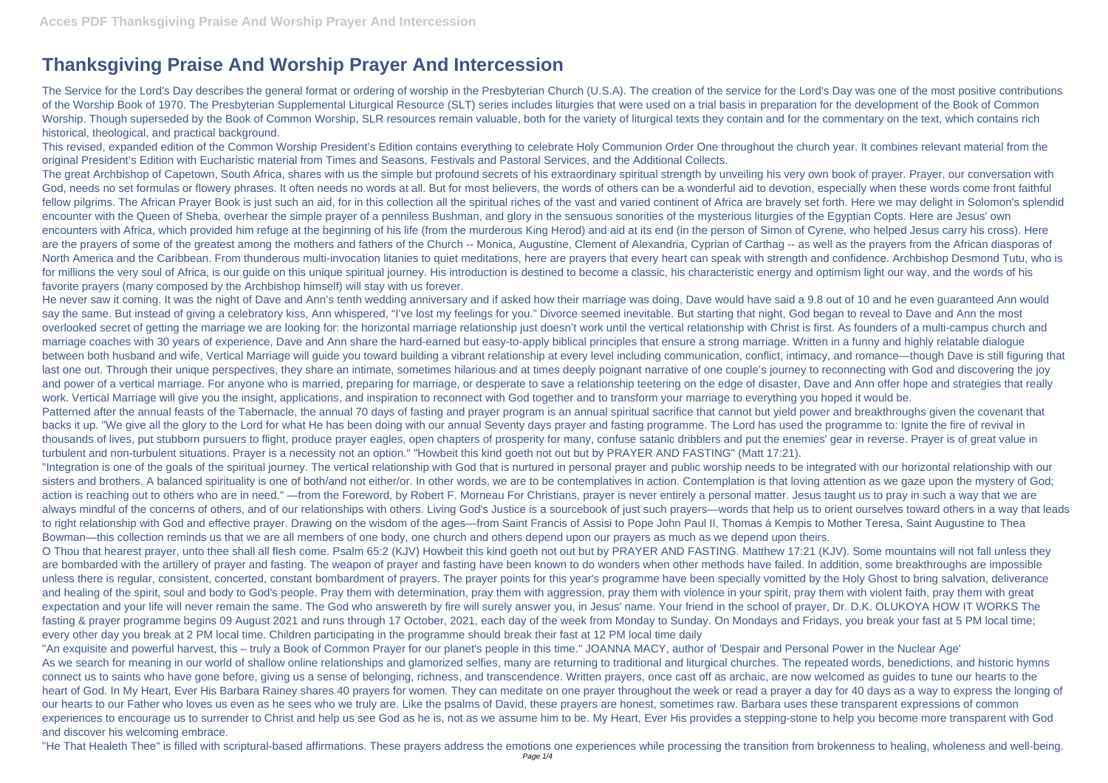## **Thanksgiving Praise And Worship Prayer And Intercession**

The Service for the Lord's Day describes the general format or ordering of worship in the Presbyterian Church (U.S.A). The creation of the service for the Lord's Day was one of the most positive contributions of the Worship Book of 1970. The Presbyterian Supplemental Liturgical Resource (SLT) series includes liturgies that were used on a trial basis in preparation for the development of the Book of Common Worship. Though superseded by the Book of Common Worship, SLR resources remain valuable, both for the variety of liturgical texts they contain and for the commentary on the text, which contains rich historical, theological, and practical background.

This revised, expanded edition of the Common Worship President's Edition contains everything to celebrate Holy Communion Order One throughout the church year. It combines relevant material from the original President's Edition with Eucharistic material from Times and Seasons, Festivals and Pastoral Services, and the Additional Collects.

The great Archbishop of Capetown, South Africa, shares with us the simple but profound secrets of his extraordinary spiritual strength by unveiling his very own book of prayer. Prayer, our conversation with God, needs no set formulas or flowery phrases. It often needs no words at all. But for most believers, the words of others can be a wonderful aid to devotion, especially when these words come front faithful fellow pilgrims. The African Prayer Book is just such an aid, for in this collection all the spiritual riches of the vast and varied continent of Africa are bravely set forth. Here we may delight in Solomon's splendid encounter with the Queen of Sheba, overhear the simple prayer of a penniless Bushman, and glory in the sensuous sonorities of the mysterious liturgies of the Egyptian Copts. Here are Jesus' own encounters with Africa, which provided him refuge at the beginning of his life (from the murderous King Herod) and aid at its end (in the person of Simon of Cyrene, who helped Jesus carry his cross). Here are the prayers of some of the greatest among the mothers and fathers of the Church -- Monica, Augustine, Clement of Alexandria, Cyprian of Carthag -- as well as the prayers from the African diasporas of North America and the Caribbean. From thunderous multi-invocation litanies to quiet meditations, here are prayers that every heart can speak with strength and confidence. Archbishop Desmond Tutu, who is for millions the very soul of Africa, is our guide on this unique spiritual journey. His introduction is destined to become a classic, his characteristic energy and optimism light our way, and the words of his favorite prayers (many composed by the Archbishop himself) will stay with us forever.

He never saw it coming. It was the night of Dave and Ann's tenth wedding anniversary and if asked how their marriage was doing, Dave would have said a 9.8 out of 10 and he even guaranteed Ann would say the same. But instead of giving a celebratory kiss, Ann whispered, "I've lost my feelings for you." Divorce seemed inevitable. But starting that night, God began to reveal to Dave and Ann the most overlooked secret of getting the marriage we are looking for: the horizontal marriage relationship just doesn't work until the vertical relationship with Christ is first. As founders of a multi-campus church and marriage coaches with 30 years of experience, Dave and Ann share the hard-earned but easy-to-apply biblical principles that ensure a strong marriage. Written in a funny and highly relatable dialogue between both husband and wife, Vertical Marriage will guide you toward building a vibrant relationship at every level including communication, conflict, intimacy, and romance—though Dave is still figuring that last one out. Through their unique perspectives, they share an intimate, sometimes hilarious and at times deeply poignant narrative of one couple's journey to reconnecting with God and discovering the joy and power of a vertical marriage. For anyone who is married, preparing for marriage, or desperate to save a relationship teetering on the edge of disaster, Dave and Ann offer hope and strategies that really work. Vertical Marriage will give you the insight, applications, and inspiration to reconnect with God together and to transform your marriage to everything you hoped it would be. Patterned after the annual feasts of the Tabernacle, the annual 70 days of fasting and prayer program is an annual spiritual sacrifice that cannot but yield power and breakthroughs given the covenant that backs it up. "We give all the glory to the Lord for what He has been doing with our annual Seventy days prayer and fasting programme. The Lord has used the programme to: Ignite the fire of revival in thousands of lives, put stubborn pursuers to flight, produce prayer eagles, open chapters of prosperity for many, confuse satanic dribblers and put the enemies' gear in reverse. Prayer is of great value in turbulent and non-turbulent situations. Prayer is a necessity not an option." "Howbeit this kind goeth not out but by PRAYER AND FASTING" (Matt 17:21).

"An exquisite and powerful harvest, this – truly a Book of Common Prayer for our planet's people in this time." JOANNA MACY, author of 'Despair and Personal Power in the Nuclear Age' As we search for meaning in our world of shallow online relationships and glamorized selfies, many are returning to traditional and liturgical churches. The repeated words, benedictions, and historic hymns connect us to saints who have gone before, giving us a sense of belonging, richness, and transcendence. Written prayers, once cast off as archaic, are now welcomed as guides to tune our hearts to the heart of God. In My Heart, Ever His Barbara Rainey shares 40 prayers for women. They can meditate on one prayer throughout the week or read a prayer a day for 40 days as a way to express the longing of our hearts to our Father who loves us even as he sees who we truly are. Like the psalms of David, these prayers are honest, sometimes raw. Barbara uses these transparent expressions of common experiences to encourage us to surrender to Christ and help us see God as he is, not as we assume him to be. My Heart, Ever His provides a stepping-stone to help you become more transparent with God and discover his welcoming embrace.

"Integration is one of the goals of the spiritual journey. The vertical relationship with God that is nurtured in personal prayer and public worship needs to be integrated with our horizontal relationship with our sisters and brothers. A balanced spirituality is one of both/and not either/or. In other words, we are to be contemplatives in action. Contemplation is that loving attention as we gaze upon the mystery of God; action is reaching out to others who are in need." —from the Foreword, by Robert F. Morneau For Christians, prayer is never entirely a personal matter. Jesus taught us to pray in such a way that we are always mindful of the concerns of others, and of our relationships with others. Living God's Justice is a sourcebook of just such prayers—words that help us to orient ourselves toward others in a way that leads to right relationship with God and effective prayer. Drawing on the wisdom of the ages—from Saint Francis of Assisi to Pope John Paul II, Thomas á Kempis to Mother Teresa, Saint Augustine to Thea Bowman—this collection reminds us that we are all members of one body, one church and others depend upon our prayers as much as we depend upon theirs. O Thou that hearest prayer, unto thee shall all flesh come. Psalm 65:2 (KJV) Howbeit this kind goeth not out but by PRAYER AND FASTING. Matthew 17:21 (KJV). Some mountains will not fall unless they are bombarded with the artillery of prayer and fasting. The weapon of prayer and fasting have been known to do wonders when other methods have failed. In addition, some breakthroughs are impossible unless there is regular, consistent, concerted, constant bombardment of prayers. The prayer points for this year's programme have been specially vomitted by the Holy Ghost to bring salvation, deliverance and healing of the spirit, soul and body to God's people. Pray them with determination, pray them with aggression, pray them with violence in your spirit, pray them with violent faith, pray them with great expectation and your life will never remain the same. The God who answereth by fire will surely answer you, in Jesus' name. Your friend in the school of prayer, Dr. D.K. OLUKOYA HOW IT WORKS The fasting & prayer programme begins 09 August 2021 and runs through 17 October, 2021, each day of the week from Monday to Sunday. On Mondays and Fridays, you break your fast at 5 PM local time; every other day you break at 2 PM local time. Children participating in the programme should break their fast at 12 PM local time daily

"He That Healeth Thee" is filled with scriptural-based affirmations. These prayers address the emotions one experiences while processing the transition from brokenness to healing, wholeness and well-being.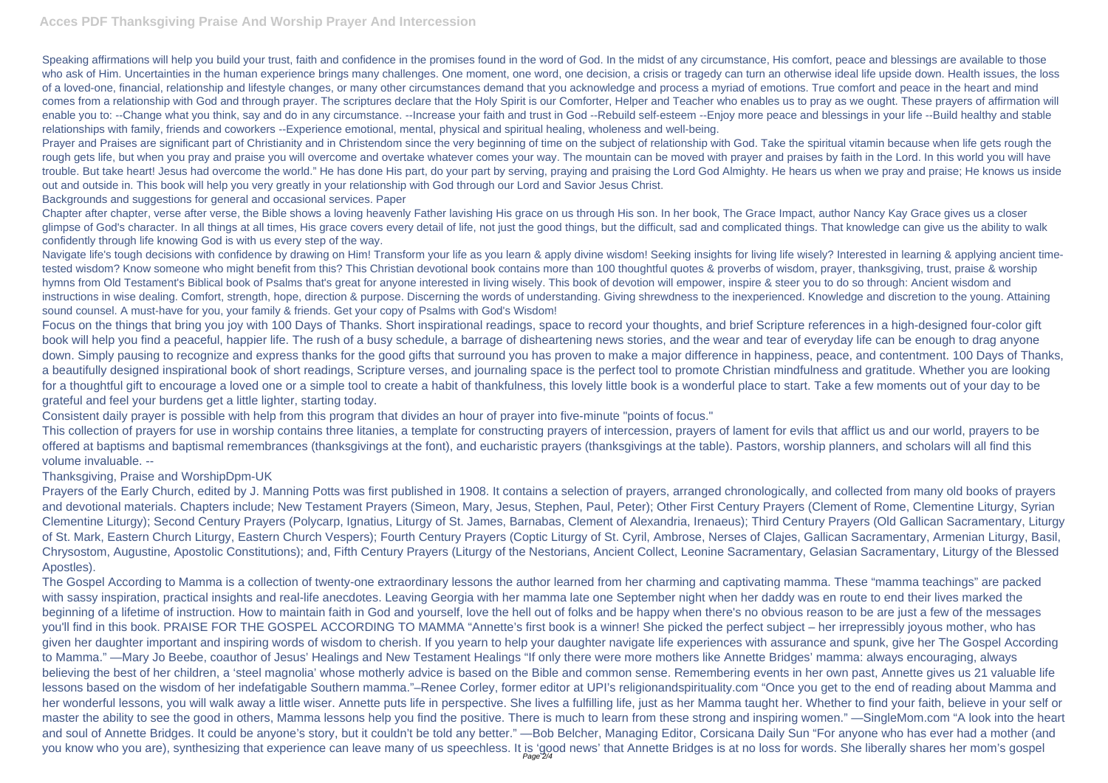## **Acces PDF Thanksgiving Praise And Worship Prayer And Intercession**

Speaking affirmations will help you build your trust, faith and confidence in the promises found in the word of God. In the midst of any circumstance, His comfort, peace and blessings are available to those who ask of Him. Uncertainties in the human experience brings many challenges. One moment, one word, one decision, a crisis or tragedy can turn an otherwise ideal life upside down. Health issues, the loss of a loved-one, financial, relationship and lifestyle changes, or many other circumstances demand that you acknowledge and process a myriad of emotions. True comfort and peace in the heart and mind comes from a relationship with God and through prayer. The scriptures declare that the Holy Spirit is our Comforter, Helper and Teacher who enables us to pray as we ought. These prayers of affirmation will enable you to: --Change what you think, say and do in any circumstance. --Increase your faith and trust in God --Rebuild self-esteem --Enjoy more peace and blessings in your life --Build healthy and stable relationships with family, friends and coworkers --Experience emotional, mental, physical and spiritual healing, wholeness and well-being.

Prayer and Praises are significant part of Christianity and in Christendom since the very beginning of time on the subject of relationship with God. Take the spiritual vitamin because when life gets rough the rough gets life, but when you pray and praise you will overcome and overtake whatever comes your way. The mountain can be moved with prayer and praises by faith in the Lord. In this world you will have trouble. But take heart! Jesus had overcome the world." He has done His part, do your part by serving, praying and praising the Lord God Almighty. He hears us when we pray and praise; He knows us inside out and outside in. This book will help you very greatly in your relationship with God through our Lord and Savior Jesus Christ.

Navigate life's tough decisions with confidence by drawing on Him! Transform your life as you learn & apply divine wisdom! Seeking insights for living life wisely? Interested in learning & applying ancient timetested wisdom? Know someone who might benefit from this? This Christian devotional book contains more than 100 thoughtful quotes & proverbs of wisdom, prayer, thanksgiving, trust, praise & worship hymns from Old Testament's Biblical book of Psalms that's great for anyone interested in living wisely. This book of devotion will empower, inspire & steer you to do so through: Ancient wisdom and instructions in wise dealing. Comfort, strength, hope, direction & purpose. Discerning the words of understanding. Giving shrewdness to the inexperienced. Knowledge and discretion to the young. Attaining sound counsel. A must-have for you, your family & friends. Get your copy of Psalms with God's Wisdom!

Backgrounds and suggestions for general and occasional services. Paper

Chapter after chapter, verse after verse, the Bible shows a loving heavenly Father lavishing His grace on us through His son. In her book, The Grace Impact, author Nancy Kay Grace gives us a closer glimpse of God's character. In all things at all times, His grace covers every detail of life, not just the good things, but the difficult, sad and complicated things. That knowledge can give us the ability to walk confidently through life knowing God is with us every step of the way.

The Gospel According to Mamma is a collection of twenty-one extraordinary lessons the author learned from her charming and captivating mamma. These "mamma teachings" are packed with sassy inspiration, practical insights and real-life anecdotes. Leaving Georgia with her mamma late one September night when her daddy was en route to end their lives marked the beginning of a lifetime of instruction. How to maintain faith in God and yourself, love the hell out of folks and be happy when there's no obvious reason to be are just a few of the messages you'll find in this book. PRAISE FOR THE GOSPEL ACCORDING TO MAMMA "Annette's first book is a winner! She picked the perfect subject – her irrepressibly joyous mother, who has given her daughter important and inspiring words of wisdom to cherish. If you yearn to help your daughter navigate life experiences with assurance and spunk, give her The Gospel According to Mamma." —Mary Jo Beebe, coauthor of Jesus' Healings and New Testament Healings "If only there were more mothers like Annette Bridges' mamma: always encouraging, always believing the best of her children, a 'steel magnolia' whose motherly advice is based on the Bible and common sense. Remembering events in her own past, Annette gives us 21 valuable life lessons based on the wisdom of her indefatigable Southern mamma."–Renee Corley, former editor at UPI's religionandspirituality.com "Once you get to the end of reading about Mamma and her wonderful lessons, you will walk away a little wiser. Annette puts life in perspective. She lives a fulfilling life, just as her Mamma taught her. Whether to find your faith, believe in your self or master the ability to see the good in others. Mamma lessons help you find the positive. There is much to learn from these strong and inspiring women." —SingleMom.com "A look into the heart and soul of Annette Bridges. It could be anyone's story, but it couldn't be told any better." —Bob Belcher, Managing Editor, Corsicana Daily Sun "For anyone who has ever had a mother (and you know who you are), synthesizing that experience can leave many of us speechless. It is 'good news' that Annette Bridges is at no loss for words. She liberally shares her mom's gospel

Focus on the things that bring you joy with 100 Days of Thanks. Short inspirational readings, space to record your thoughts, and brief Scripture references in a high-designed four-color gift book will help you find a peaceful, happier life. The rush of a busy schedule, a barrage of disheartening news stories, and the wear and tear of everyday life can be enough to drag anyone down. Simply pausing to recognize and express thanks for the good gifts that surround you has proven to make a major difference in happiness, peace, and contentment. 100 Days of Thanks, a beautifully designed inspirational book of short readings, Scripture verses, and journaling space is the perfect tool to promote Christian mindfulness and gratitude. Whether you are looking for a thoughtful gift to encourage a loved one or a simple tool to create a habit of thankfulness, this lovely little book is a wonderful place to start. Take a few moments out of your day to be grateful and feel your burdens get a little lighter, starting today.

Consistent daily prayer is possible with help from this program that divides an hour of prayer into five-minute "points of focus."

This collection of prayers for use in worship contains three litanies, a template for constructing prayers of intercession, prayers of lament for evils that afflict us and our world, prayers to be offered at baptisms and baptismal remembrances (thanksgivings at the font), and eucharistic prayers (thanksgivings at the table). Pastors, worship planners, and scholars will all find this volume invaluable. --

## Thanksgiving, Praise and WorshipDpm-UK

Prayers of the Early Church, edited by J. Manning Potts was first published in 1908. It contains a selection of prayers, arranged chronologically, and collected from many old books of prayers and devotional materials. Chapters include; New Testament Prayers (Simeon, Mary, Jesus, Stephen, Paul, Peter); Other First Century Prayers (Clement of Rome, Clementine Liturgy, Syrian Clementine Liturgy); Second Century Prayers (Polycarp, Ignatius, Liturgy of St. James, Barnabas, Clement of Alexandria, Irenaeus); Third Century Prayers (Old Gallican Sacramentary, Liturgy of St. Mark, Eastern Church Liturgy, Eastern Church Vespers); Fourth Century Prayers (Coptic Liturgy of St. Cyril, Ambrose, Nerses of Clajes, Gallican Sacramentary, Armenian Liturgy, Basil, Chrysostom, Augustine, Apostolic Constitutions); and, Fifth Century Prayers (Liturgy of the Nestorians, Ancient Collect, Leonine Sacramentary, Gelasian Sacramentary, Liturgy of the Blessed Apostles).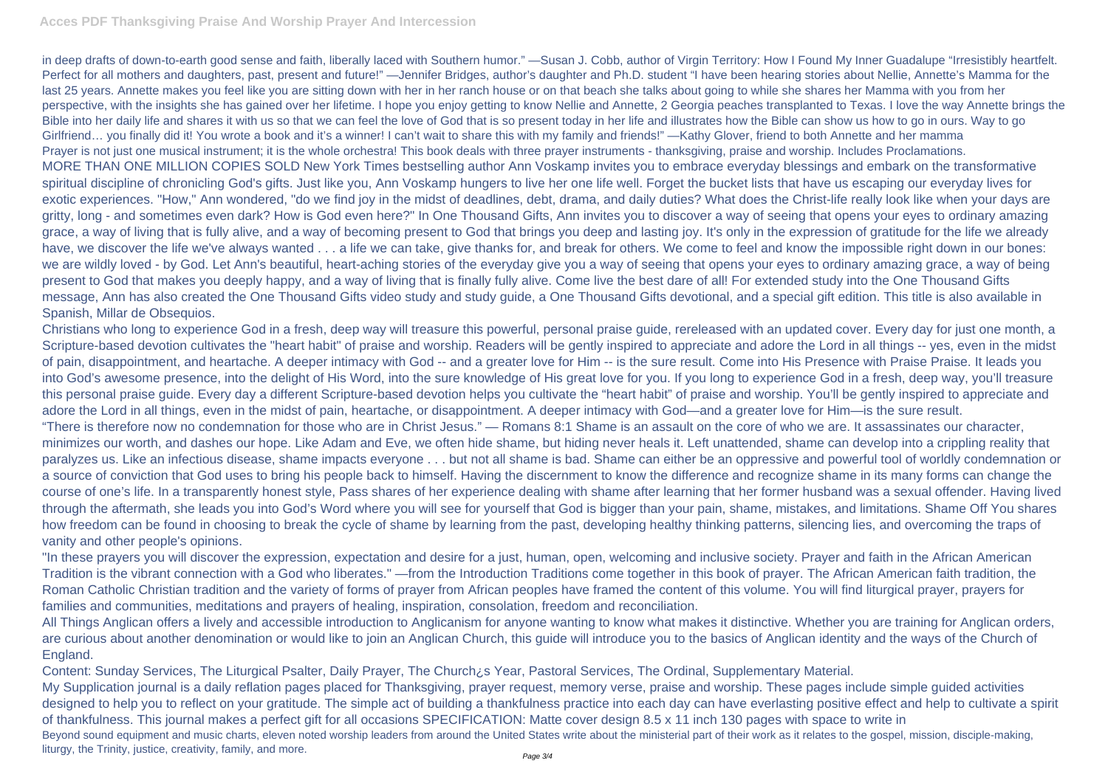in deep drafts of down-to-earth good sense and faith, liberally laced with Southern humor." —Susan J. Cobb, author of Virgin Territory: How I Found My Inner Guadalupe "Irresistibly heartfelt. Perfect for all mothers and daughters, past, present and future!"—Jennifer Bridges, author's daughter and Ph.D. student "I have been hearing stories about Nellie, Annette's Mamma for the last 25 years. Annette makes you feel like you are sitting down with her in her ranch house or on that beach she talks about going to while she shares her Mamma with you from her perspective, with the insights she has gained over her lifetime. I hope you enjoy getting to know Nellie and Annette, 2 Georgia peaches transplanted to Texas. I love the way Annette brings the Bible into her daily life and shares it with us so that we can feel the love of God that is so present today in her life and illustrates how the Bible can show us how to go in ours. Way to go Girlfriend... you finally did it! You wrote a book and it's a winner! I can't wait to share this with my family and friends!" —Kathy Glover, friend to both Annette and her mamma Prayer is not just one musical instrument; it is the whole orchestra! This book deals with three prayer instruments - thanksgiving, praise and worship. Includes Proclamations. MORE THAN ONE MILLION COPIES SOLD New York Times bestselling author Ann Voskamp invites you to embrace everyday blessings and embark on the transformative spiritual discipline of chronicling God's gifts. Just like you, Ann Voskamp hungers to live her one life well. Forget the bucket lists that have us escaping our everyday lives for exotic experiences. "How," Ann wondered, "do we find joy in the midst of deadlines, debt, drama, and daily duties? What does the Christ-life really look like when your days are gritty, long - and sometimes even dark? How is God even here?" In One Thousand Gifts, Ann invites you to discover a way of seeing that opens your eyes to ordinary amazing grace, a way of living that is fully alive, and a way of becoming present to God that brings you deep and lasting joy. It's only in the expression of gratitude for the life we already have, we discover the life we've always wanted . . . a life we can take, give thanks for, and break for others. We come to feel and know the impossible right down in our bones: we are wildly loved - by God. Let Ann's beautiful, heart-aching stories of the everyday give you a way of seeing that opens your eyes to ordinary amazing grace, a way of being present to God that makes you deeply happy, and a way of living that is finally fully alive. Come live the best dare of all! For extended study into the One Thousand Gifts message, Ann has also created the One Thousand Gifts video study and study guide, a One Thousand Gifts devotional, and a special gift edition. This title is also available in Spanish, Millar de Obsequios.

Christians who long to experience God in a fresh, deep way will treasure this powerful, personal praise guide, rereleased with an updated cover. Every day for just one month, a Scripture-based devotion cultivates the "heart habit" of praise and worship. Readers will be gently inspired to appreciate and adore the Lord in all things -- yes, even in the midst of pain, disappointment, and heartache. A deeper intimacy with God -- and a greater love for Him -- is the sure result. Come into His Presence with Praise Praise. It leads you into God's awesome presence, into the delight of His Word, into the sure knowledge of His great love for you. If you long to experience God in a fresh, deep way, you'll treasure this personal praise guide. Every day a different Scripture-based devotion helps you cultivate the "heart habit" of praise and worship. You'll be gently inspired to appreciate and adore the Lord in all things, even in the midst of pain, heartache, or disappointment. A deeper intimacy with God—and a greater love for Him—is the sure result. "There is therefore now no condemnation for those who are in Christ Jesus." — Romans 8:1 Shame is an assault on the core of who we are. It assassinates our character, minimizes our worth, and dashes our hope. Like Adam and Eve, we often hide shame, but hiding never heals it. Left unattended, shame can develop into a crippling reality that paralyzes us. Like an infectious disease, shame impacts everyone . . . but not all shame is bad. Shame can either be an oppressive and powerful tool of worldly condemnation or a source of conviction that God uses to bring his people back to himself. Having the discernment to know the difference and recognize shame in its many forms can change the course of one's life. In a transparently honest style, Pass shares of her experience dealing with shame after learning that her former husband was a sexual offender. Having lived through the aftermath, she leads you into God's Word where you will see for yourself that God is bigger than your pain, shame, mistakes, and limitations. Shame Off You shares how freedom can be found in choosing to break the cycle of shame by learning from the past, developing healthy thinking patterns, silencing lies, and overcoming the traps of vanity and other people's opinions.

"In these prayers you will discover the expression, expectation and desire for a just, human, open, welcoming and inclusive society. Prayer and faith in the African American Tradition is the vibrant connection with a God who liberates." —from the Introduction Traditions come together in this book of prayer. The African American faith tradition, the Roman Catholic Christian tradition and the variety of forms of prayer from African peoples have framed the content of this volume. You will find liturgical prayer, prayers for families and communities, meditations and prayers of healing, inspiration, consolation, freedom and reconciliation.

All Things Anglican offers a lively and accessible introduction to Anglicanism for anyone wanting to know what makes it distinctive. Whether you are training for Anglican orders, are curious about another denomination or would like to join an Anglican Church, this guide will introduce you to the basics of Anglican identity and the ways of the Church of England.

Content: Sunday Services, The Liturgical Psalter, Daily Prayer, The Church¿s Year, Pastoral Services, The Ordinal, Supplementary Material. My Supplication journal is a daily reflation pages placed for Thanksgiving, prayer request, memory verse, praise and worship. These pages include simple guided activities designed to help you to reflect on your gratitude. The simple act of building a thankfulness practice into each day can have everlasting positive effect and help to cultivate a spirit of thankfulness. This journal makes a perfect gift for all occasions SPECIFICATION: Matte cover design 8.5 x 11 inch 130 pages with space to write in Beyond sound equipment and music charts, eleven noted worship leaders from around the United States write about the ministerial part of their work as it relates to the gospel, mission, disciple-making, liturgy, the Trinity, justice, creativity, family, and more.